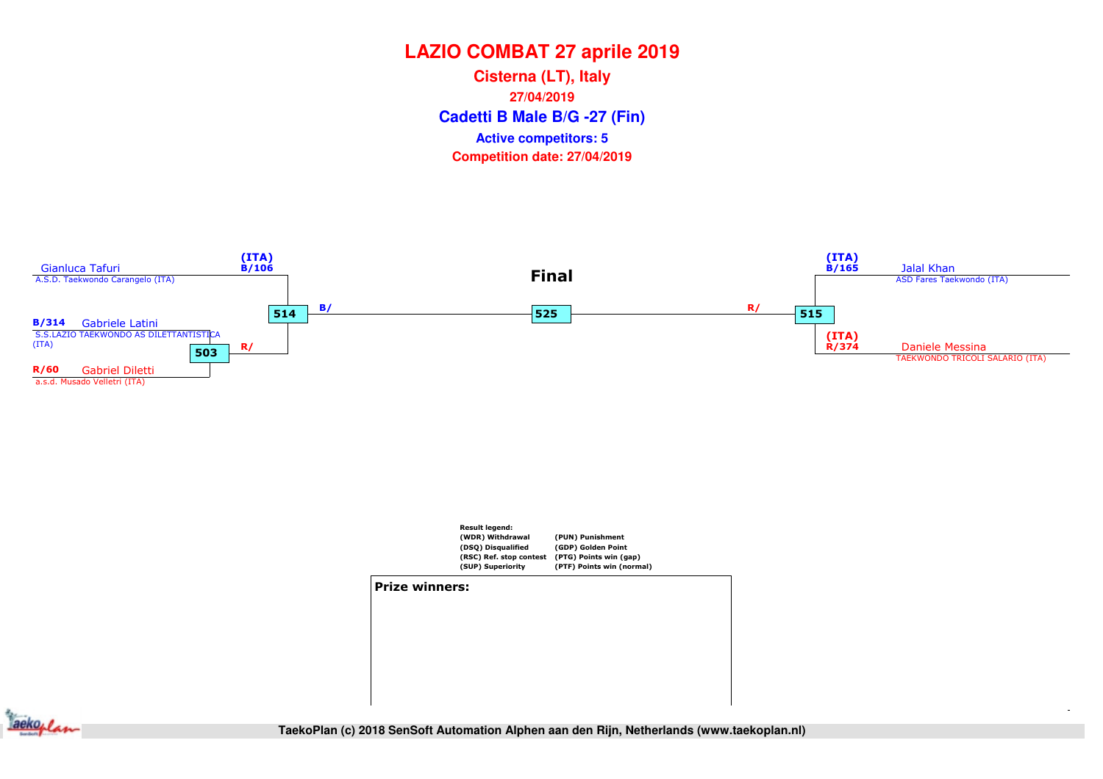**Cadetti B Male B/G -27 (Fin) Cisterna (LT), Italy27/04/2019Competition date: 27/04/2019 Active competitors: 5**







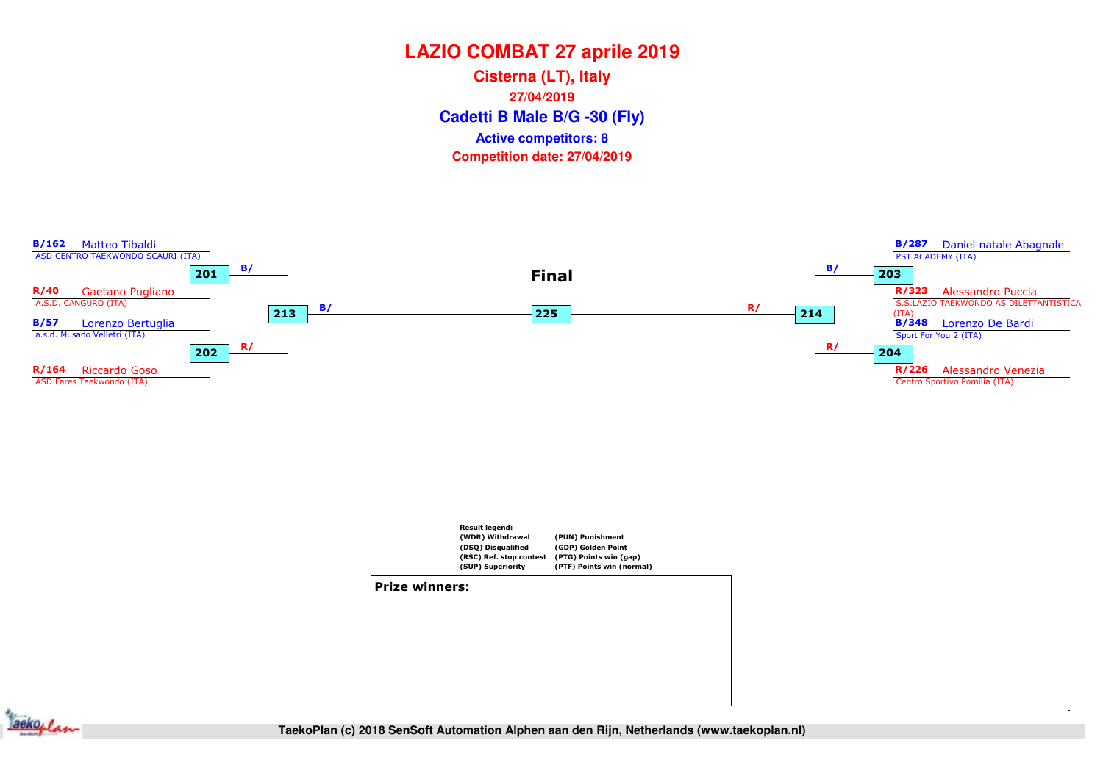**Cadetti B Male B/G -30 (Fly) Cisterna (LT), Italy27/04/2019Competition date: 27/04/2019 Active competitors: 8**





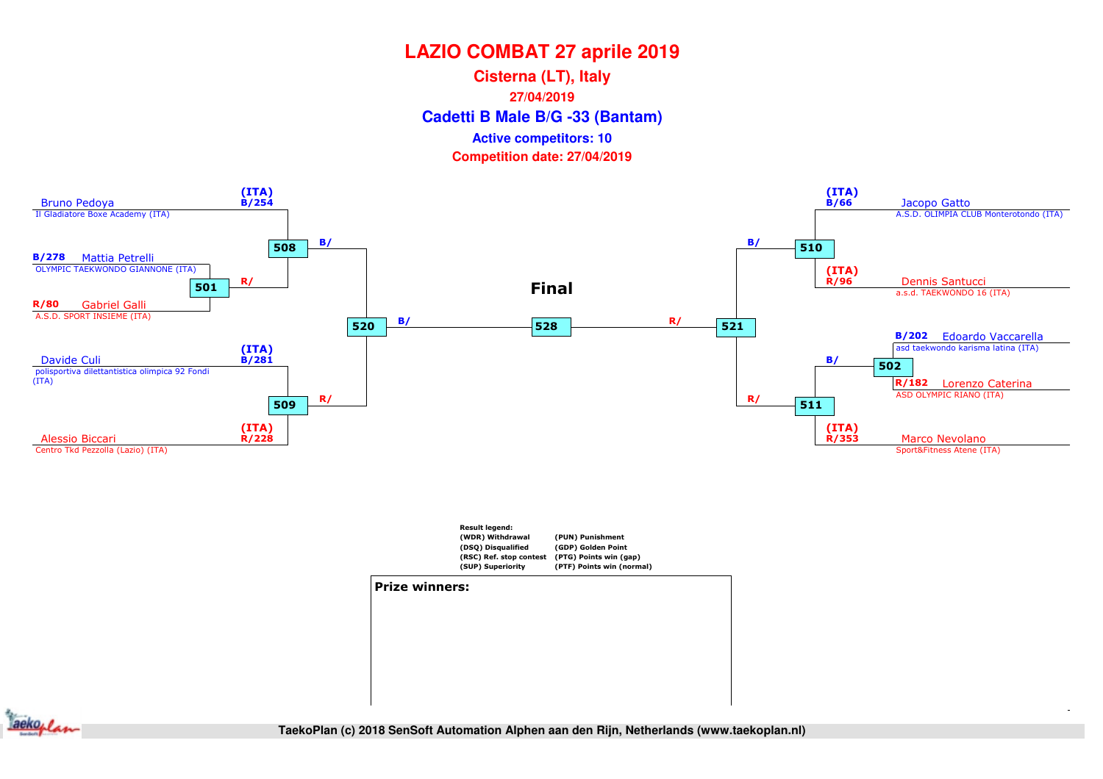**Cadetti B Male B/G -33 (Bantam) Cisterna (LT), Italy27/04/2019Competition date: 27/04/2019 Active competitors: 10**



![](_page_2_Figure_3.jpeg)

![](_page_2_Figure_4.jpeg)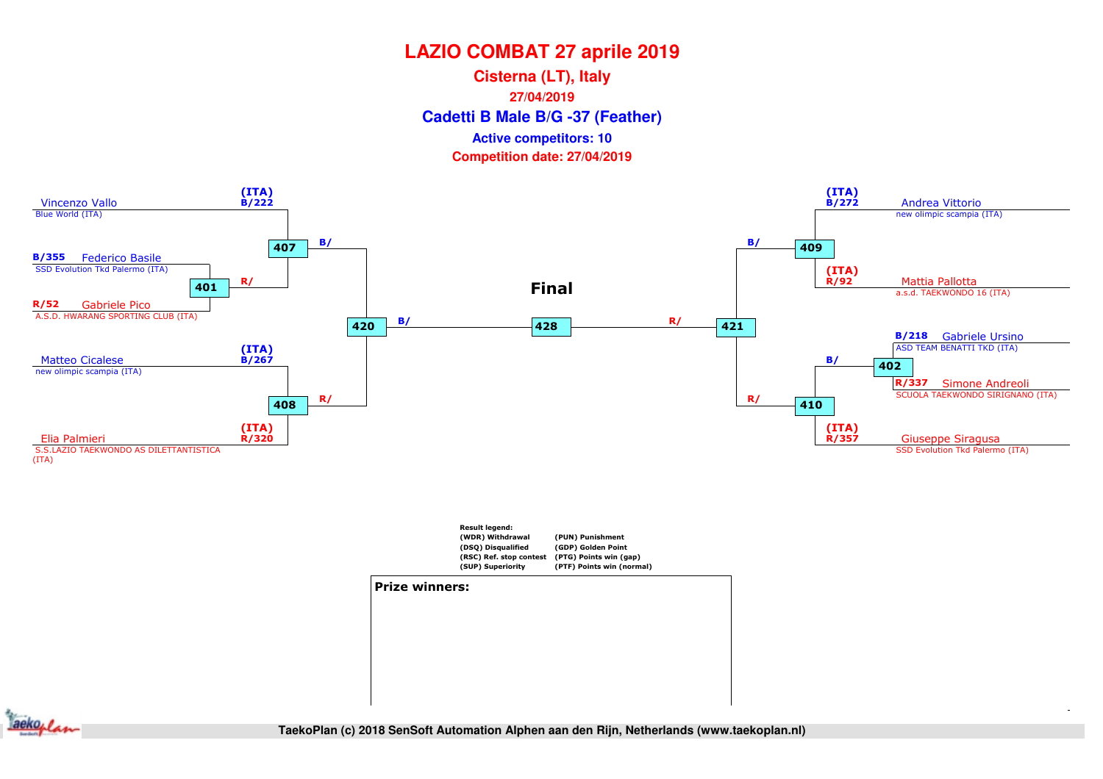**Cadetti B Male B/G -37 (Feather) Cisterna (LT), Italy27/04/2019Competition date: 27/04/2019 Active competitors: 10**

![](_page_3_Figure_2.jpeg)

![](_page_3_Figure_3.jpeg)

#### Prize winners:

![](_page_3_Figure_5.jpeg)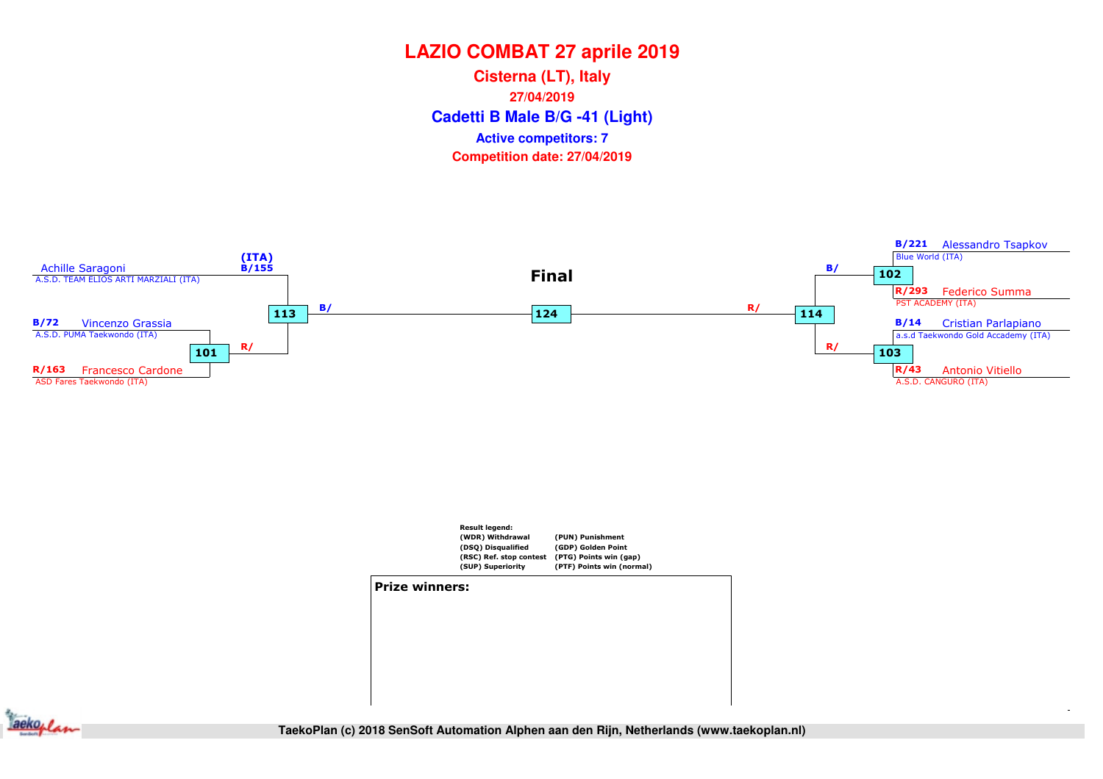**Cadetti B Male B/G -41 (Light) Cisterna (LT), Italy27/04/2019Competition date: 27/04/2019 Active competitors: 7**

![](_page_4_Figure_2.jpeg)

![](_page_4_Figure_3.jpeg)

![](_page_4_Figure_4.jpeg)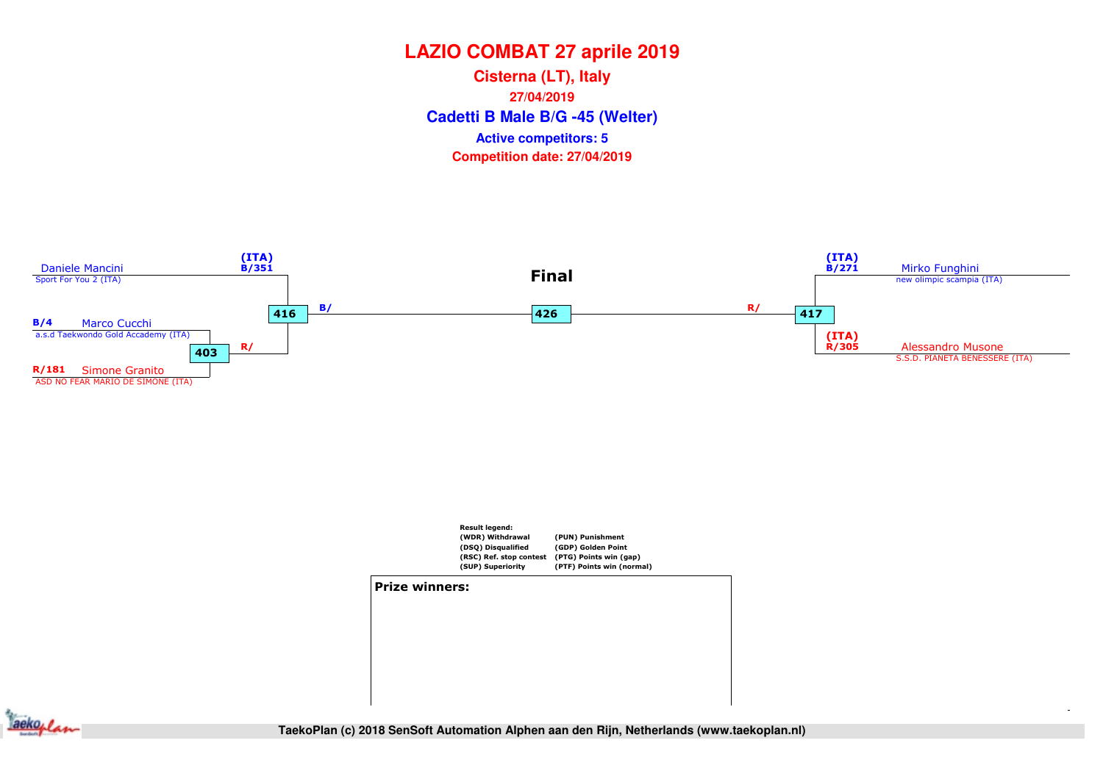**Cadetti B Male B/G -45 (Welter) Cisterna (LT), Italy27/04/2019Competition date: 27/04/2019 Active competitors: 5**

![](_page_5_Figure_2.jpeg)

![](_page_5_Figure_3.jpeg)

#### Prize winners:

![](_page_5_Picture_5.jpeg)

**QF (R8)** SF (R4) SF (R4) Final **TaekoPlan (c) 2018 SenSoft Automation Alphen aan den Rijn, Netherlands (www.taekoplan.nl)**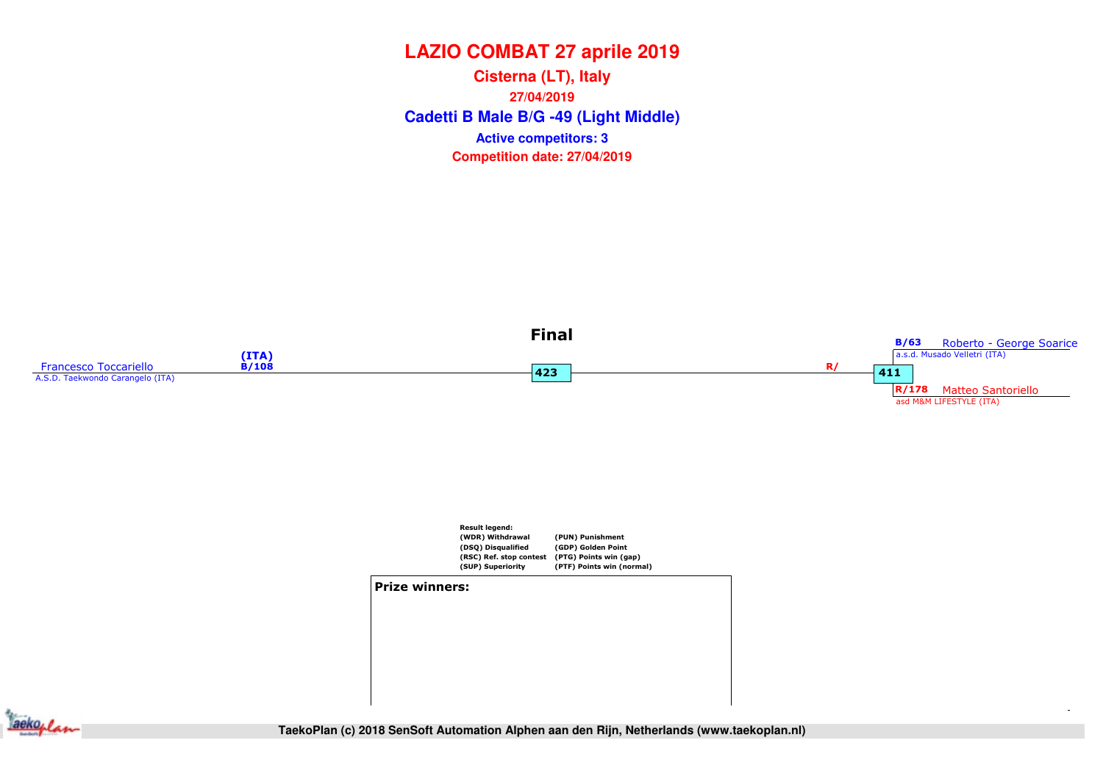**Cadetti B Male B/G -49 (Light Middle) Cisterna (LT), Italy27/04/2019Competition date: 27/04/2019 Active competitors: 3**

![](_page_6_Figure_2.jpeg)

![](_page_6_Figure_3.jpeg)

![](_page_6_Picture_4.jpeg)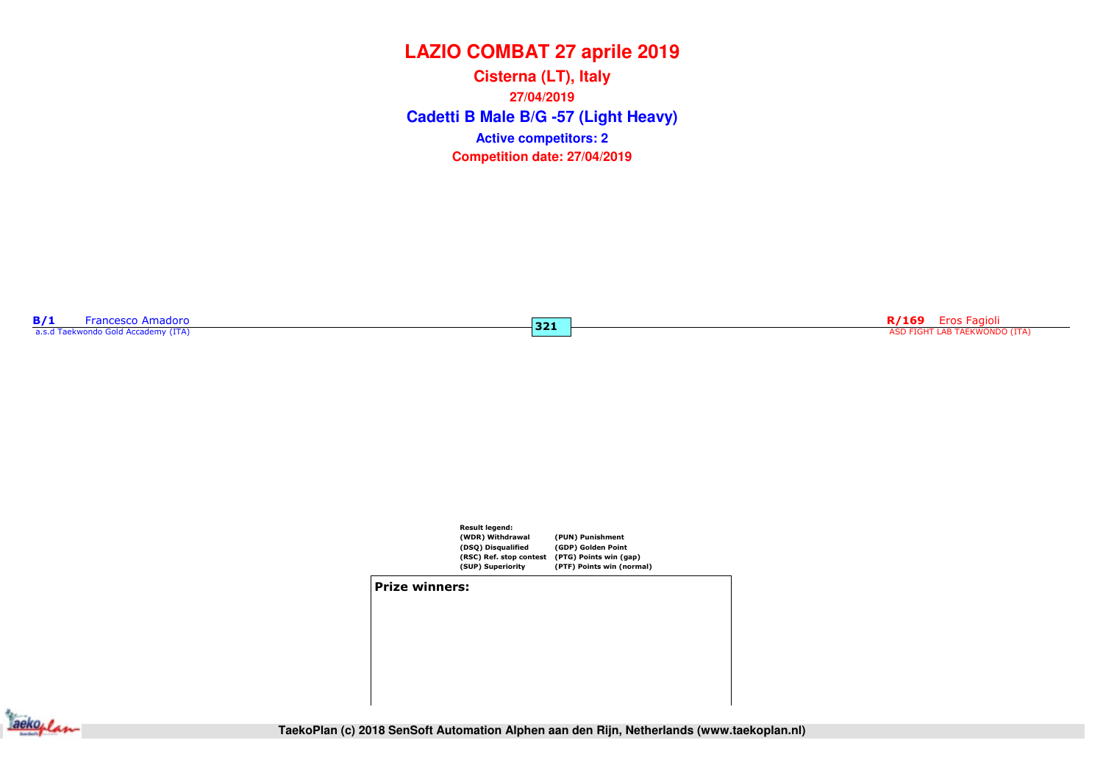**Cadetti B Male B/G -57 (Light Heavy) Cisterna (LT), Italy27/04/2019Competition date: 27/04/2019 Active competitors: 2**

 $321$ 

**B/1** Francesco Amadoro a.s.d Taekwondo Gold Accademy (ITA)

RIP STATES ENGLES AND RESERVE ENGLES AND RESERVE ENGLES A SUPERFORMATION OF THE SERVE ENGLES AND FIGHT LAB TAEKWONDO (ITA) (TA) (STATES AND RESERVE ASD FIGHT LAB TAEKWONDO (ITA)

![](_page_7_Figure_4.jpeg)

#### Prize winners:

![](_page_7_Picture_6.jpeg)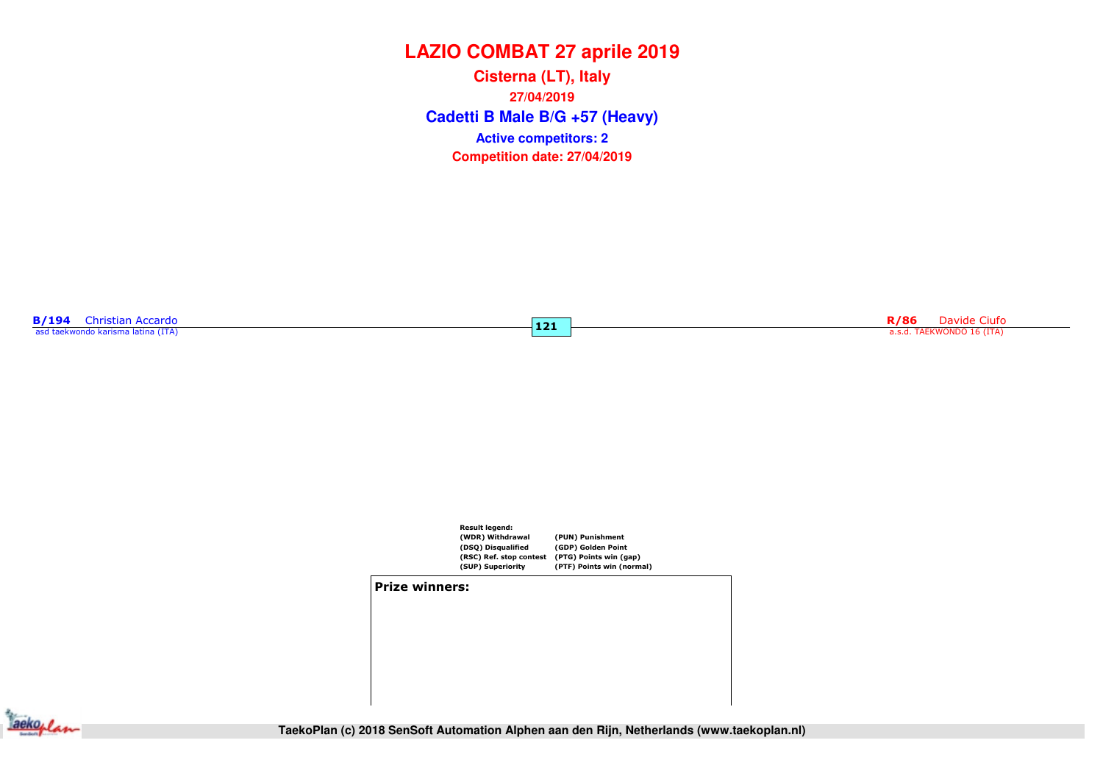**Cadetti B Male B/G +57 (Heavy) Cisterna (LT), Italy27/04/2019Competition date: 27/04/2019 Active competitors: 2**

 $|121|$ 

**B/194** Christian Accardo asd taekwondo karisma latina (ITA)

Register that the contract of the contract of the city of the city of the city of the city of the city of the city of the city of the city of the city of the city of the city of the city of the city of the city of the city

![](_page_8_Figure_4.jpeg)

#### Prize winners:

![](_page_8_Picture_6.jpeg)

**TaekoPlan (c) 2018 SenSoft Automation Alphen aan den Rijn, Netherlands (www.taekoplan.nl)**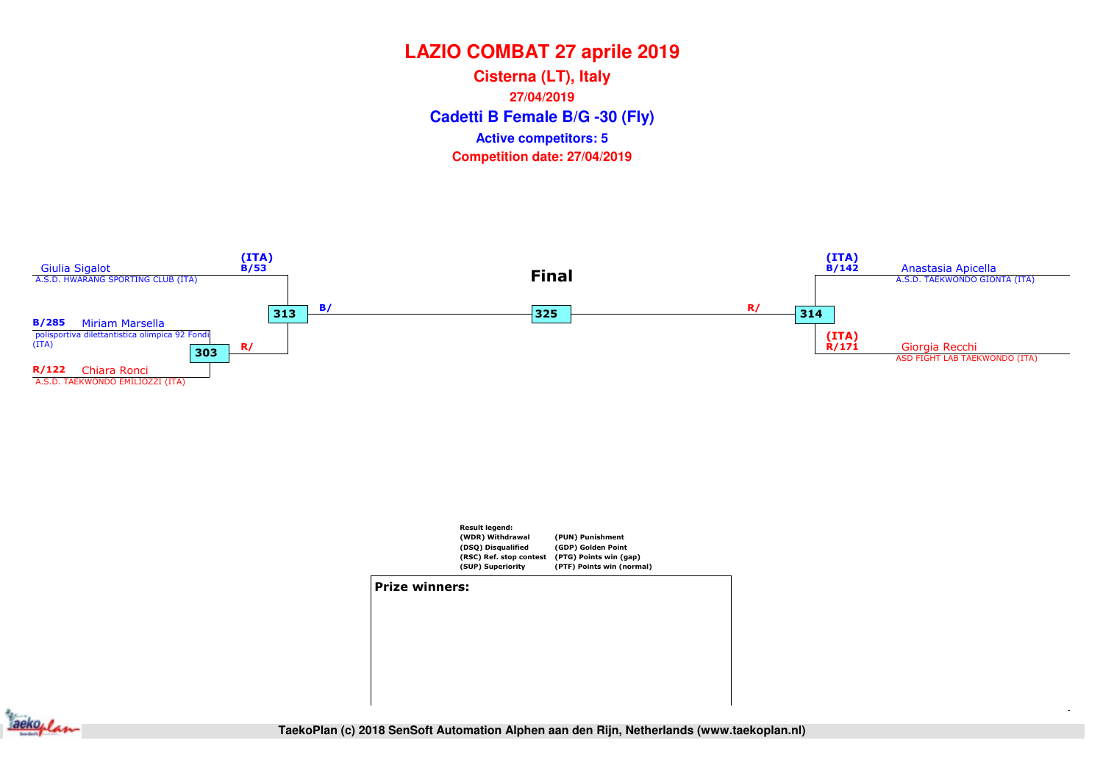**Cadetti B Female B/G -30 (Fly) Cisterna (LT), Italy27/04/2019Competition date: 27/04/2019 Active competitors: 5**

![](_page_9_Figure_2.jpeg)

![](_page_9_Figure_3.jpeg)

![](_page_9_Figure_4.jpeg)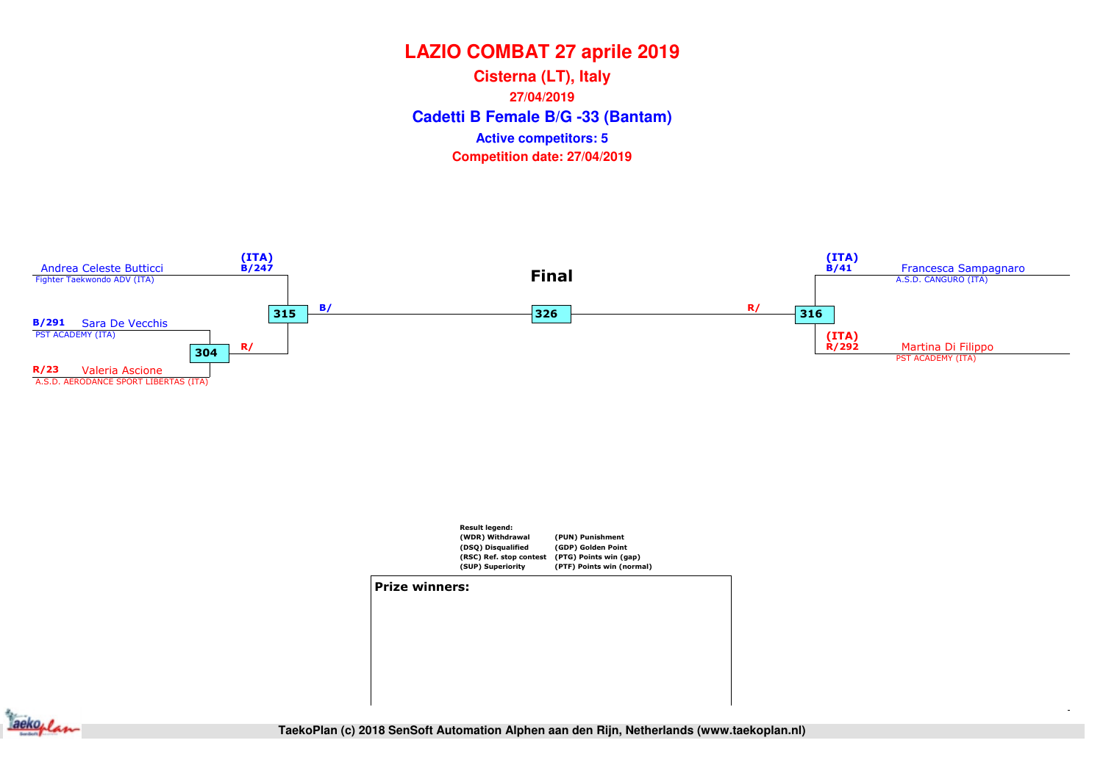**Cadetti B Female B/G -33 (Bantam) Cisterna (LT), Italy27/04/2019Competition date: 27/04/2019 Active competitors: 5**

![](_page_10_Figure_2.jpeg)

![](_page_10_Figure_3.jpeg)

![](_page_10_Figure_4.jpeg)

![](_page_10_Picture_5.jpeg)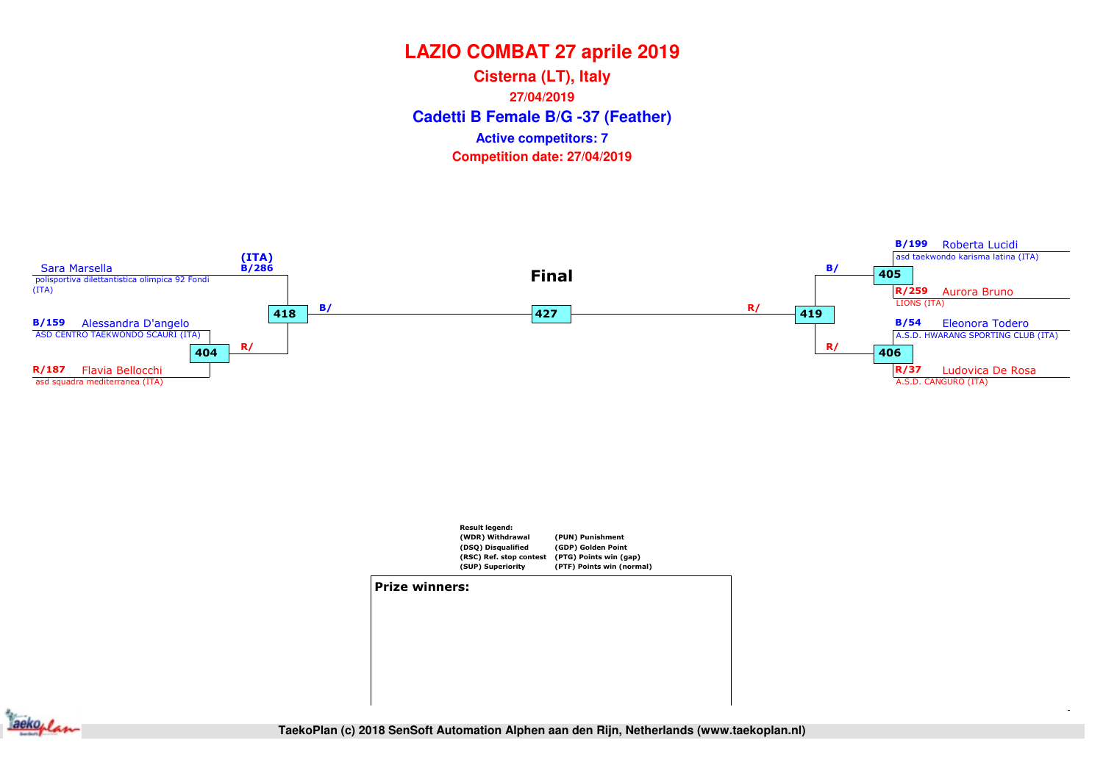**Cadetti B Female B/G -37 (Feather) Cisterna (LT), Italy27/04/2019Competition date: 27/04/2019 Active competitors: 7**

![](_page_11_Figure_2.jpeg)

![](_page_11_Figure_3.jpeg)

![](_page_11_Figure_4.jpeg)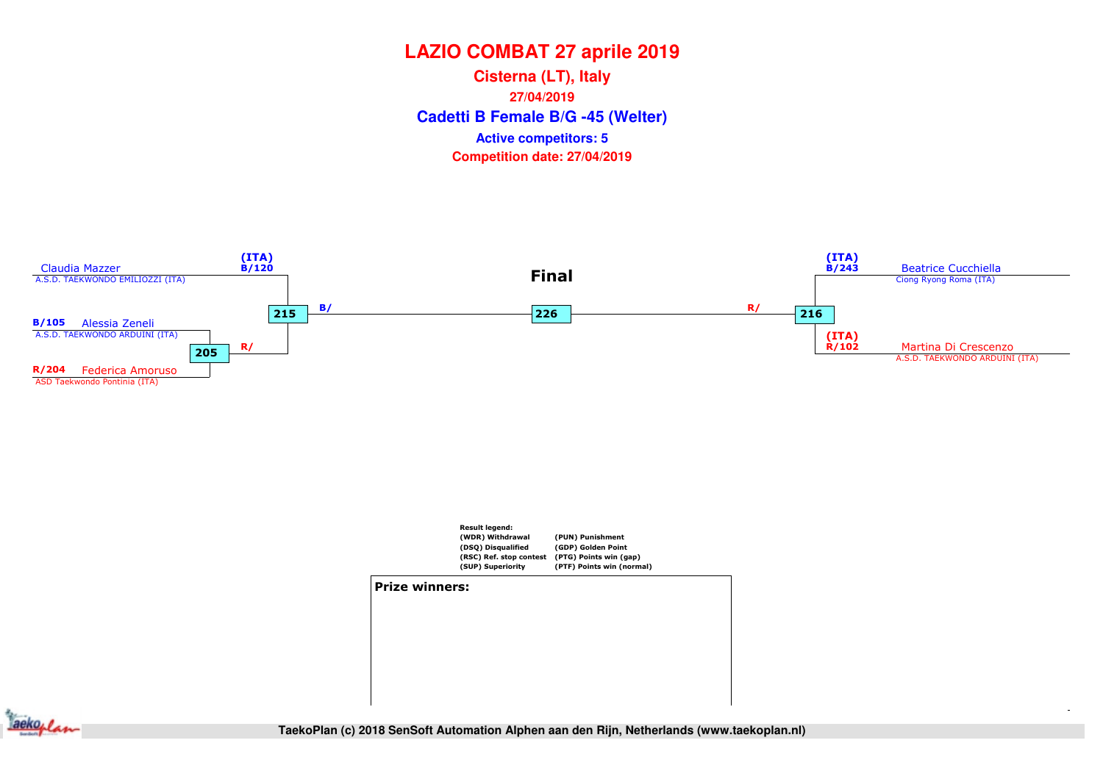**Cadetti B Female B/G -45 (Welter) Cisterna (LT), Italy27/04/2019Competition date: 27/04/2019 Active competitors: 5**

![](_page_12_Figure_2.jpeg)

![](_page_12_Figure_3.jpeg)

![](_page_12_Figure_4.jpeg)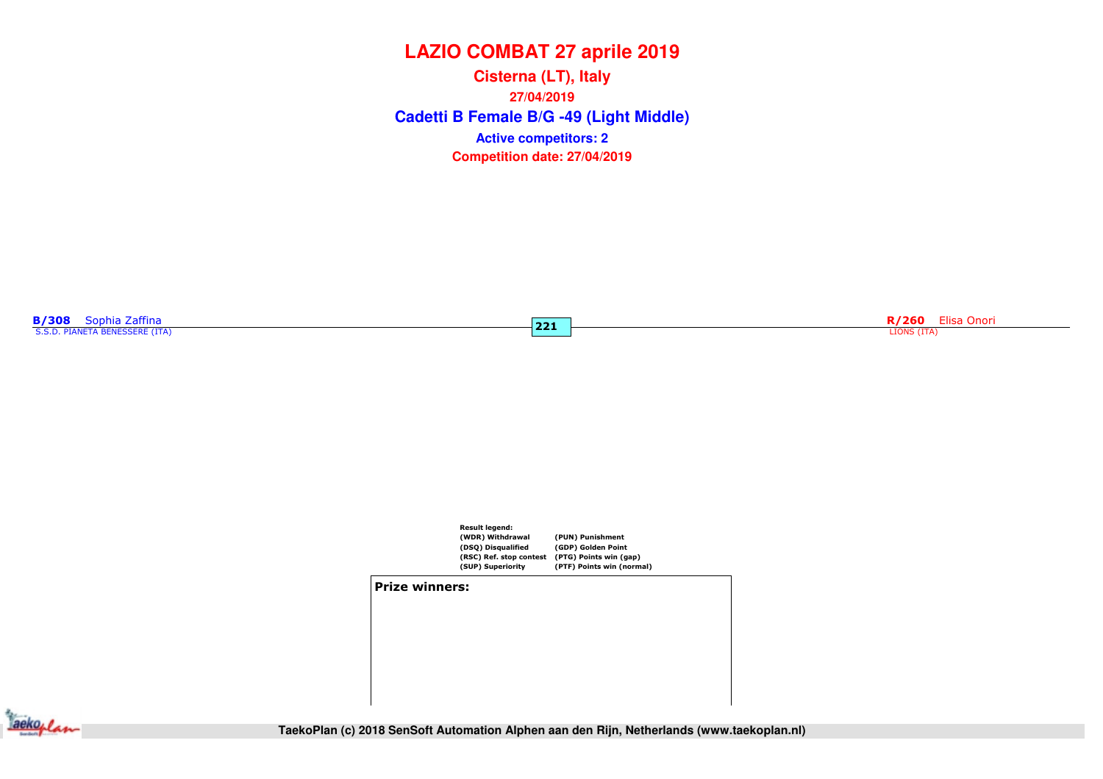**Cadetti B Female B/G -49 (Light Middle) Cisterna (LT), Italy27/04/2019Competition date: 27/04/2019 Active competitors: 2**

 $\overline{221}$ 

|  | <b>B/308</b> Sophia Zaffina    |  |
|--|--------------------------------|--|
|  | S.S.D. PIANETA BENESSERE (ITA) |  |

R/260 Elisa Onori LIONS (ITA)

![](_page_13_Figure_5.jpeg)

#### Prize winners:

![](_page_13_Picture_7.jpeg)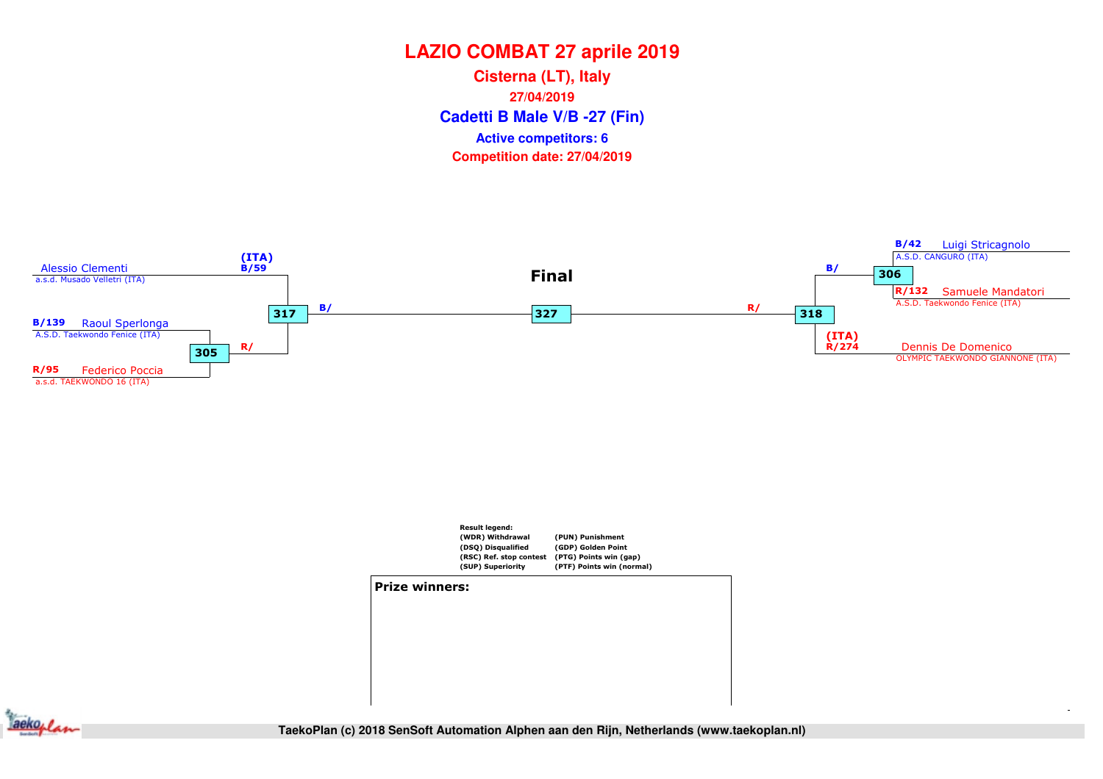**Cadetti B Male V/B -27 (Fin) Cisterna (LT), Italy27/04/2019Competition date: 27/04/2019 Active competitors: 6**

![](_page_14_Figure_2.jpeg)

![](_page_14_Figure_3.jpeg)

#### Prize winners:

![](_page_14_Picture_5.jpeg)

**QF (R8)** SF (R4) SF (R4) Final **TaekoPlan (c) 2018 SenSoft Automation Alphen aan den Rijn, Netherlands (www.taekoplan.nl)**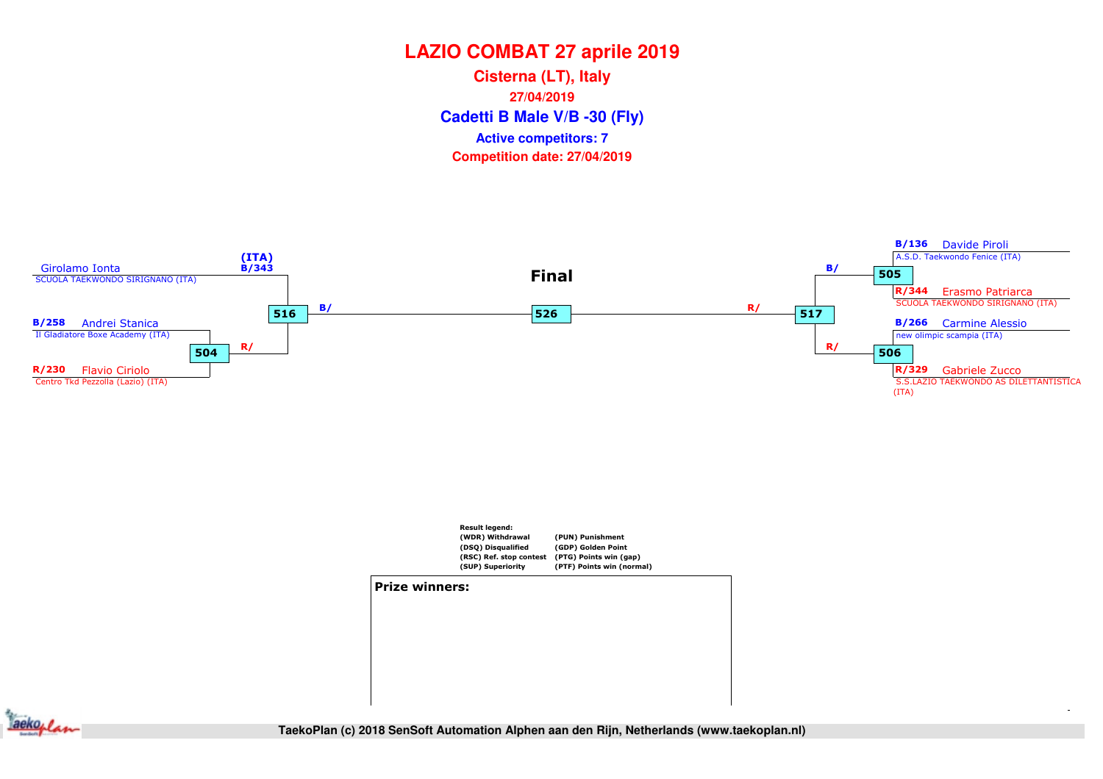**Cadetti B Male V/B -30 (Fly) Cisterna (LT), Italy27/04/2019Competition date: 27/04/2019 Active competitors: 7**

![](_page_15_Figure_2.jpeg)

![](_page_15_Figure_3.jpeg)

![](_page_15_Figure_4.jpeg)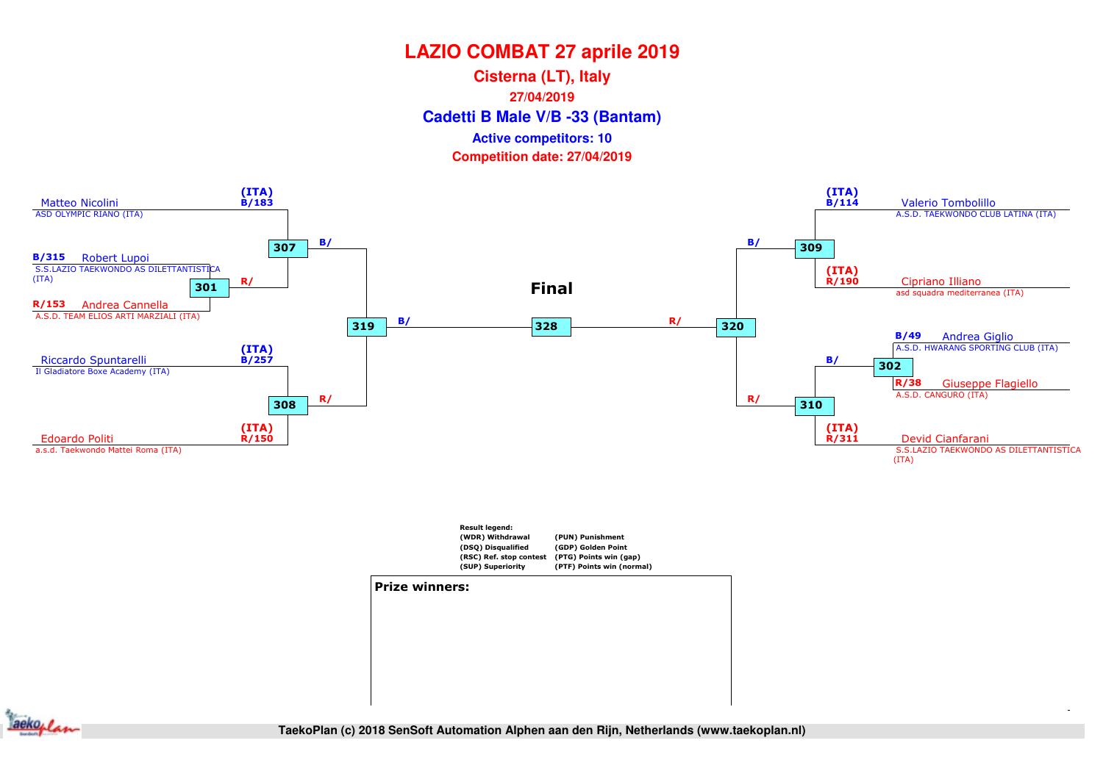**Cadetti B Male V/B -33 (Bantam) Cisterna (LT), Italy27/04/2019Competition date: 27/04/2019 Active competitors: 10**

![](_page_16_Figure_2.jpeg)

![](_page_16_Figure_3.jpeg)

![](_page_16_Figure_4.jpeg)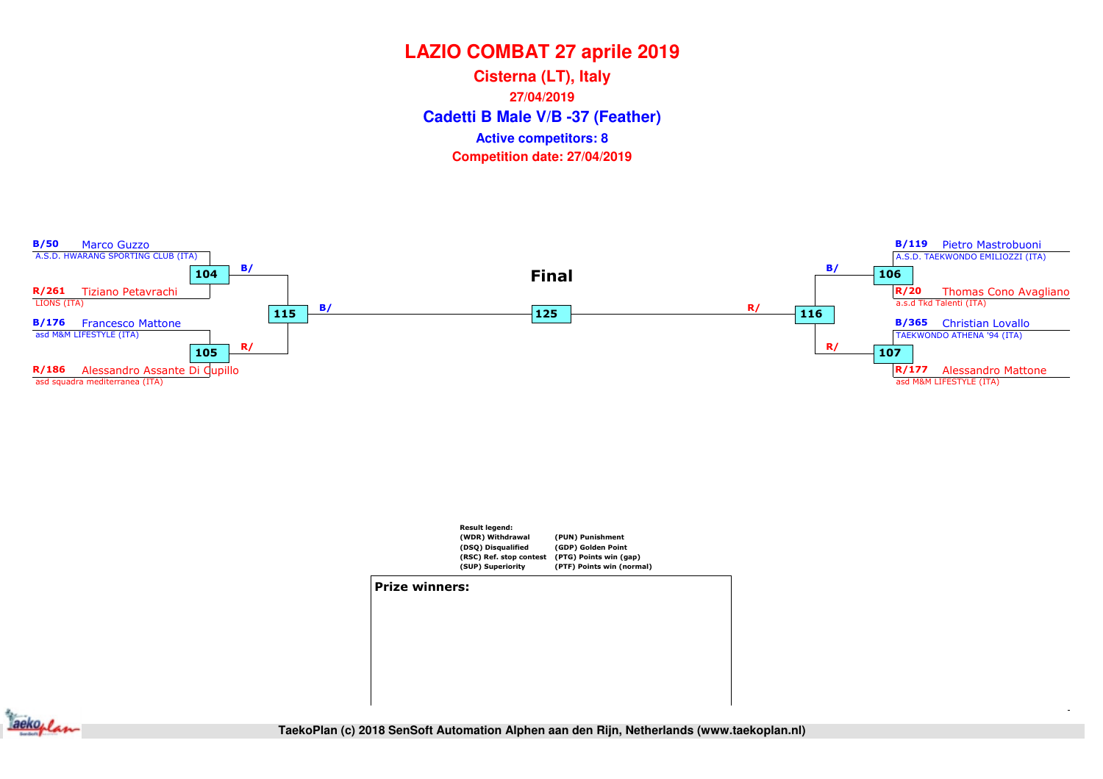**Cadetti B Male V/B -37 (Feather) Cisterna (LT), Italy27/04/2019Competition date: 27/04/2019 Active competitors: 8**

![](_page_17_Figure_2.jpeg)

![](_page_17_Figure_3.jpeg)

![](_page_17_Figure_4.jpeg)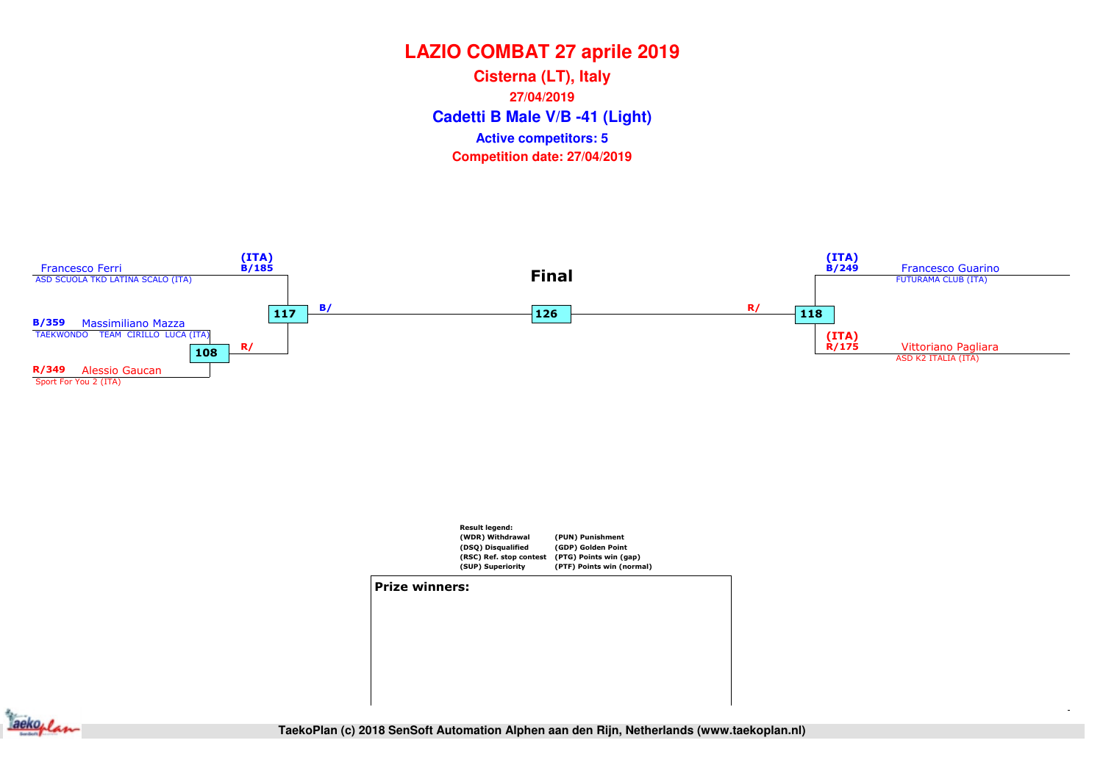**Cadetti B Male V/B -41 (Light) Cisterna (LT), Italy27/04/2019Competition date: 27/04/2019 Active competitors: 5**

![](_page_18_Figure_2.jpeg)

![](_page_18_Figure_3.jpeg)

![](_page_18_Picture_4.jpeg)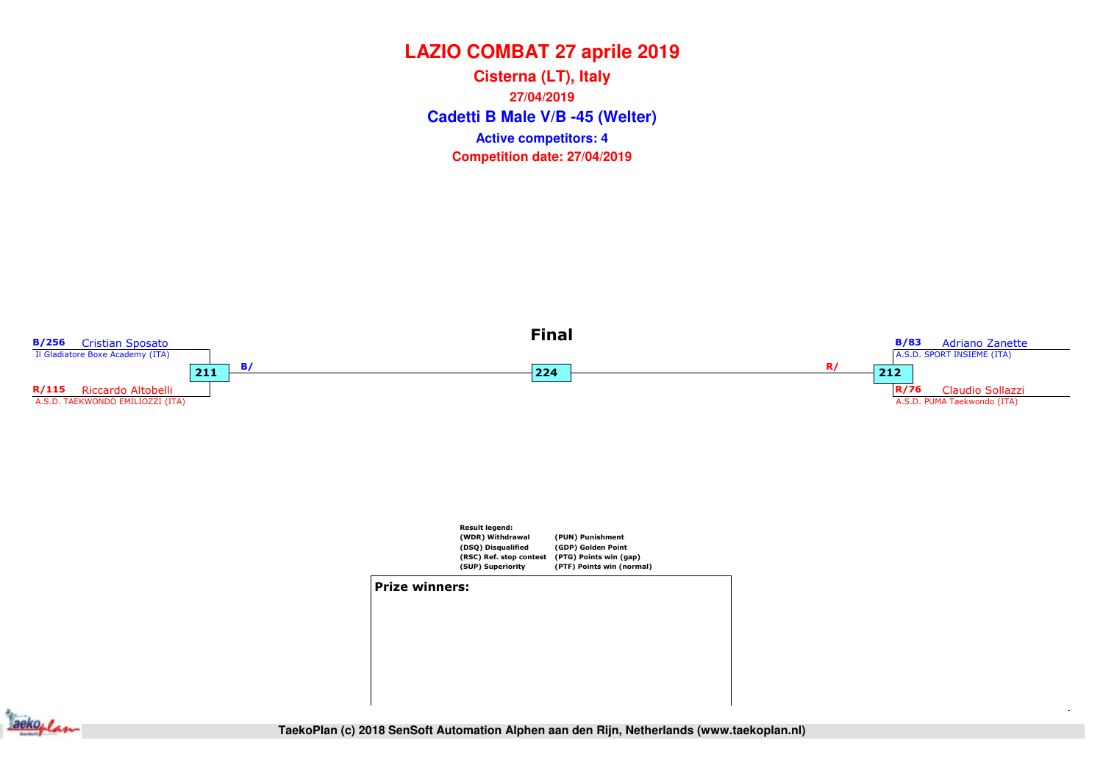**Cadetti B Male V/B -45 (Welter) Cisterna (LT), Italy27/04/2019Competition date: 27/04/2019 Active competitors: 4**

![](_page_19_Figure_2.jpeg)

![](_page_19_Figure_3.jpeg)

![](_page_19_Figure_4.jpeg)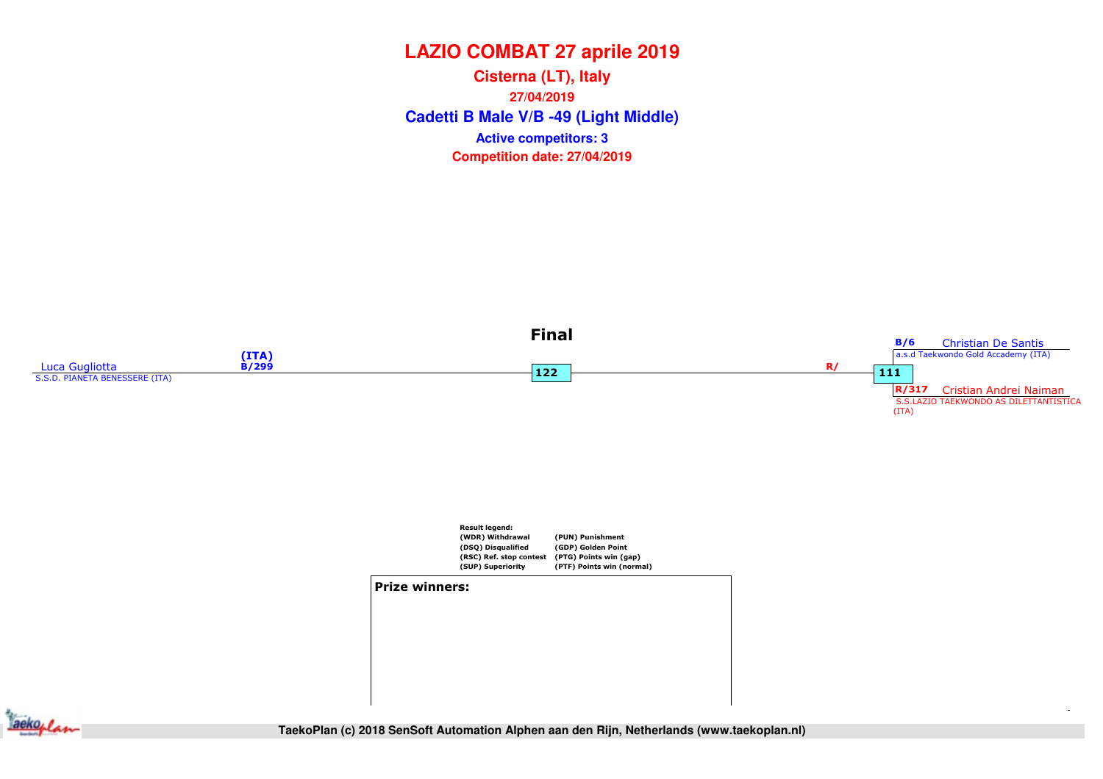**Cadetti B Male V/B -49 (Light Middle) Cisterna (LT), Italy27/04/2019Competition date: 27/04/2019 Active competitors: 3**

![](_page_20_Figure_2.jpeg)

![](_page_20_Figure_3.jpeg)

![](_page_20_Figure_4.jpeg)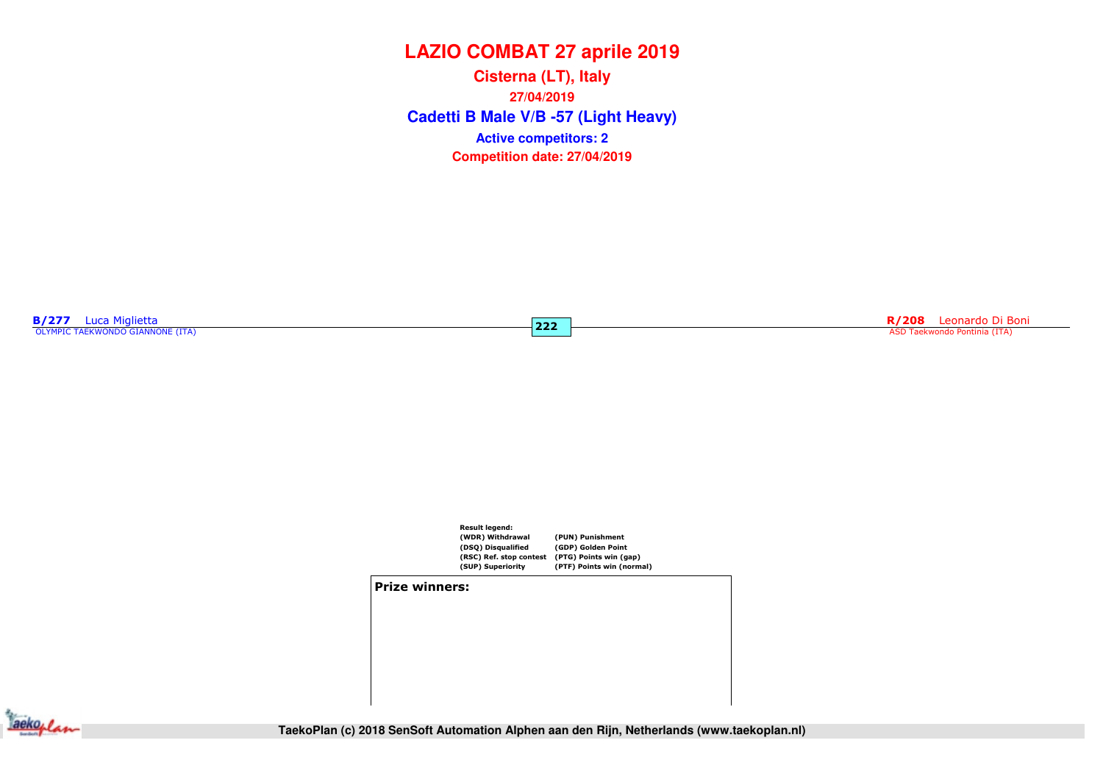**Cadetti B Male V/B -57 (Light Heavy) Cisterna (LT), Italy27/04/2019Competition date: 27/04/2019 Active competitors: 2**

 $\overline{222}$ 

**B/277** Luca Miglietta<br>
OLYMPIC TAEKWONDO GIANNONE (ITA)

en al 1992 de la contrada de la contrada de la contrada de la contrada de la contrada de la contrada de la contrada de la contrada de la contrada de la contrada de la contrada de la contrada de la contrada de la contrada d

![](_page_21_Figure_4.jpeg)

#### Prize winners:

![](_page_21_Picture_6.jpeg)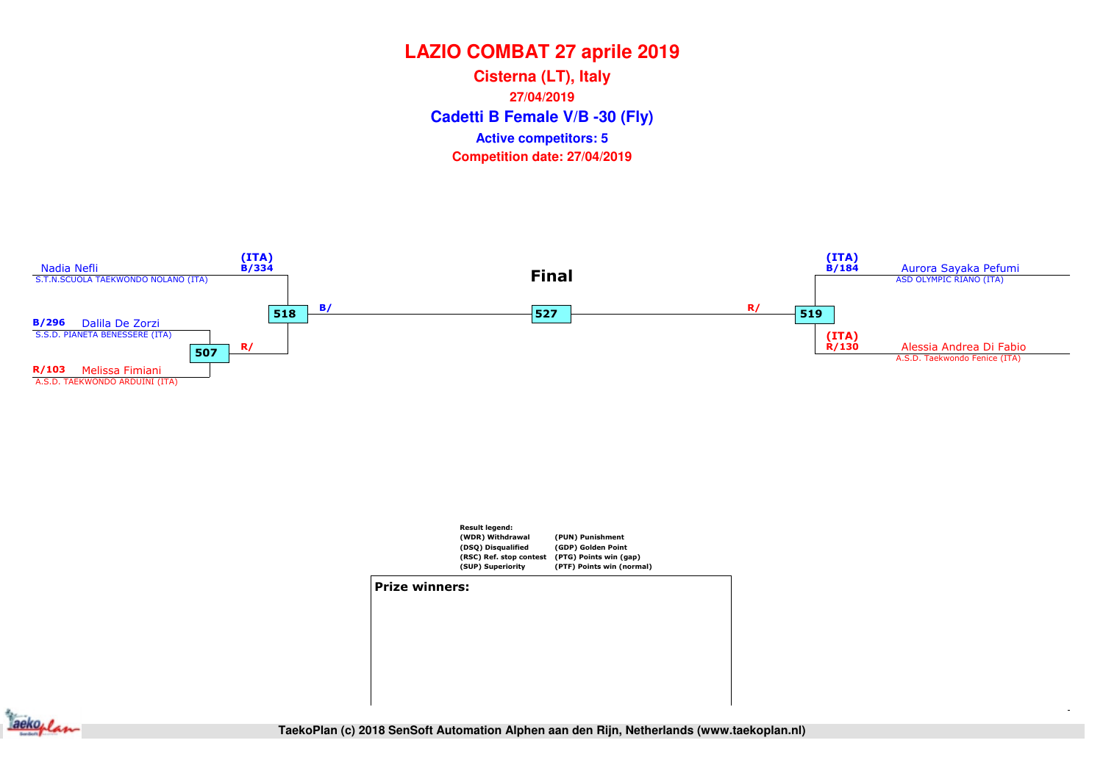**Cadetti B Female V/B -30 (Fly) Cisterna (LT), Italy27/04/2019Competition date: 27/04/2019 Active competitors: 5**

![](_page_22_Figure_2.jpeg)

![](_page_22_Figure_3.jpeg)

![](_page_22_Figure_4.jpeg)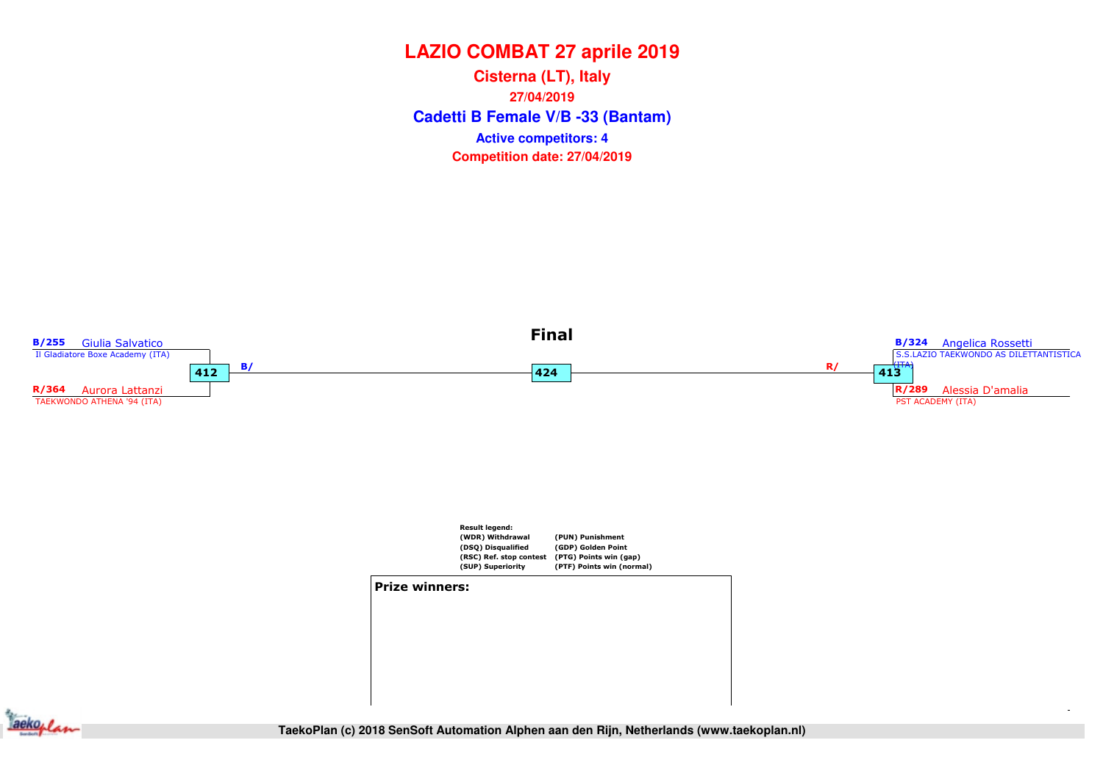**Cadetti B Female V/B -33 (Bantam) Cisterna (LT), Italy27/04/2019Competition date: 27/04/2019 Active competitors: 4**

![](_page_23_Figure_2.jpeg)

![](_page_23_Picture_3.jpeg)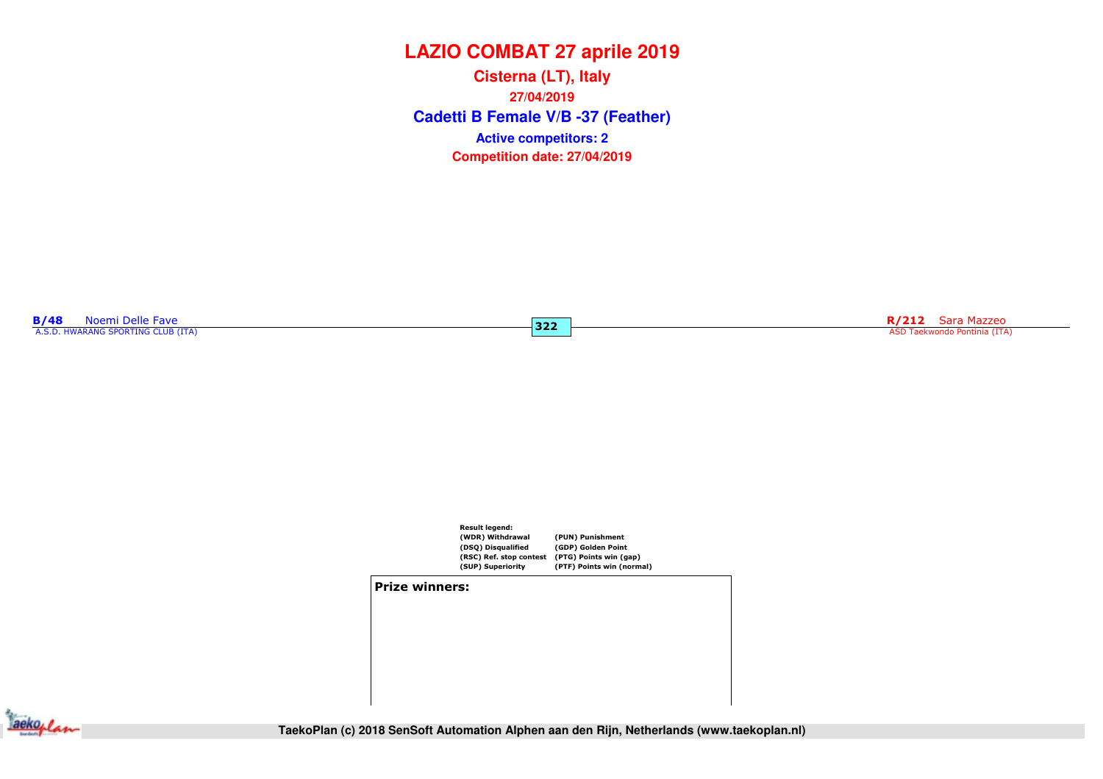**Cadetti B Female V/B -37 (Feather) Cisterna (LT), Italy27/04/2019Competition date: 27/04/2019 Active competitors: 2**

 $322$ 

**B/48** Noemi Delle Fave<br>A.S.D. HWARANG SPORTING CLUB (ITA)

R/212 Sara Mazzeo ASD Taekwondo Pontinia (ITA)

![](_page_24_Figure_4.jpeg)

#### Prize winners:

![](_page_24_Picture_6.jpeg)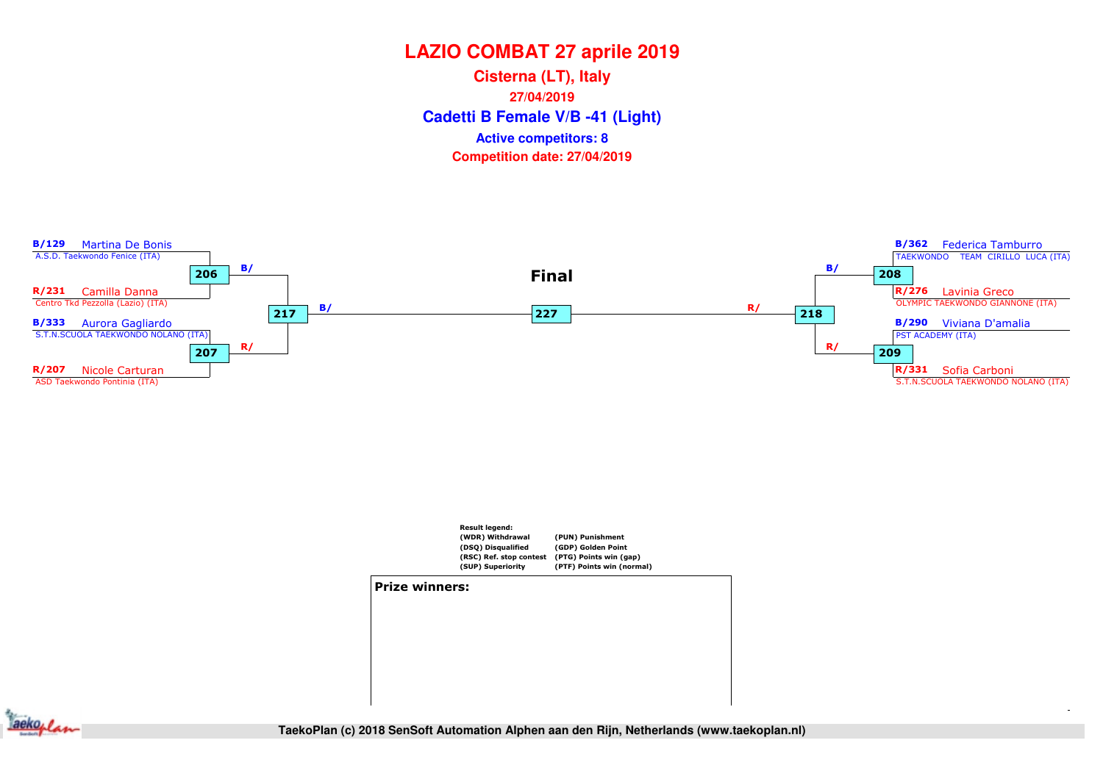**Cadetti B Female V/B -41 (Light) Cisterna (LT), Italy27/04/2019Competition date: 27/04/2019 Active competitors: 8**

![](_page_25_Figure_2.jpeg)

![](_page_25_Figure_3.jpeg)

**Jackoplan**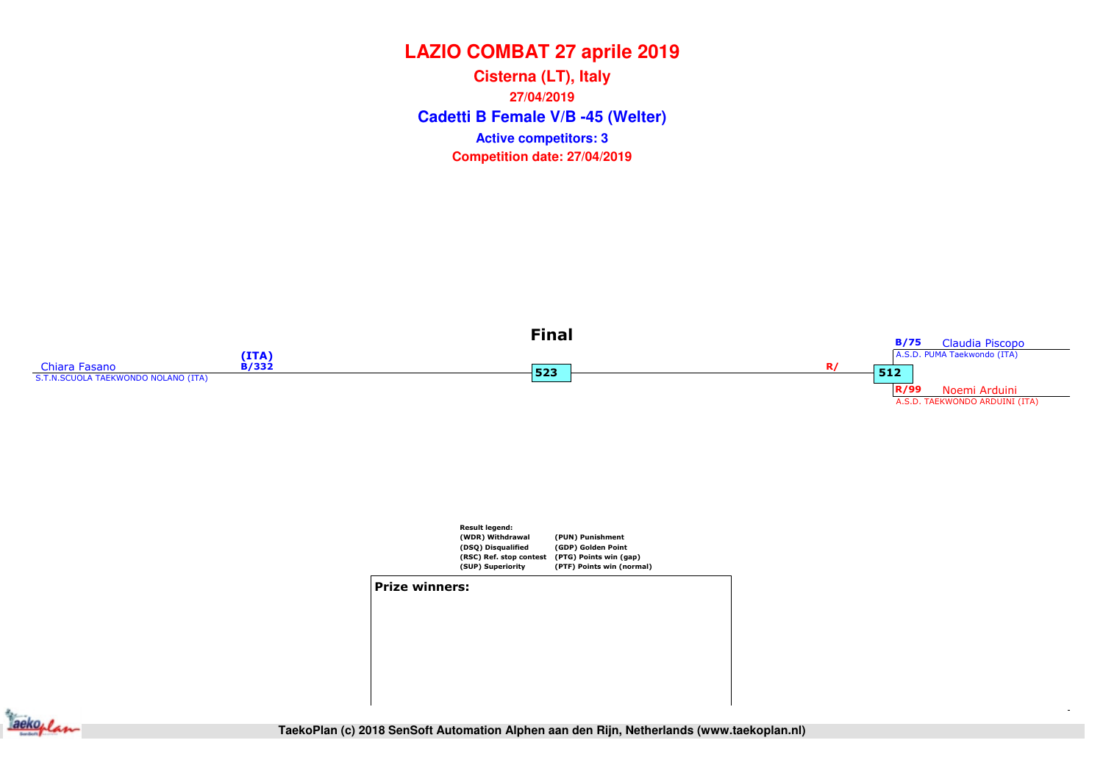**Cadetti B Female V/B -45 (Welter) Cisterna (LT), Italy27/04/2019Competition date: 27/04/2019 Active competitors: 3**

![](_page_26_Figure_2.jpeg)

![](_page_26_Figure_3.jpeg)

#### Prize winners:

![](_page_26_Picture_5.jpeg)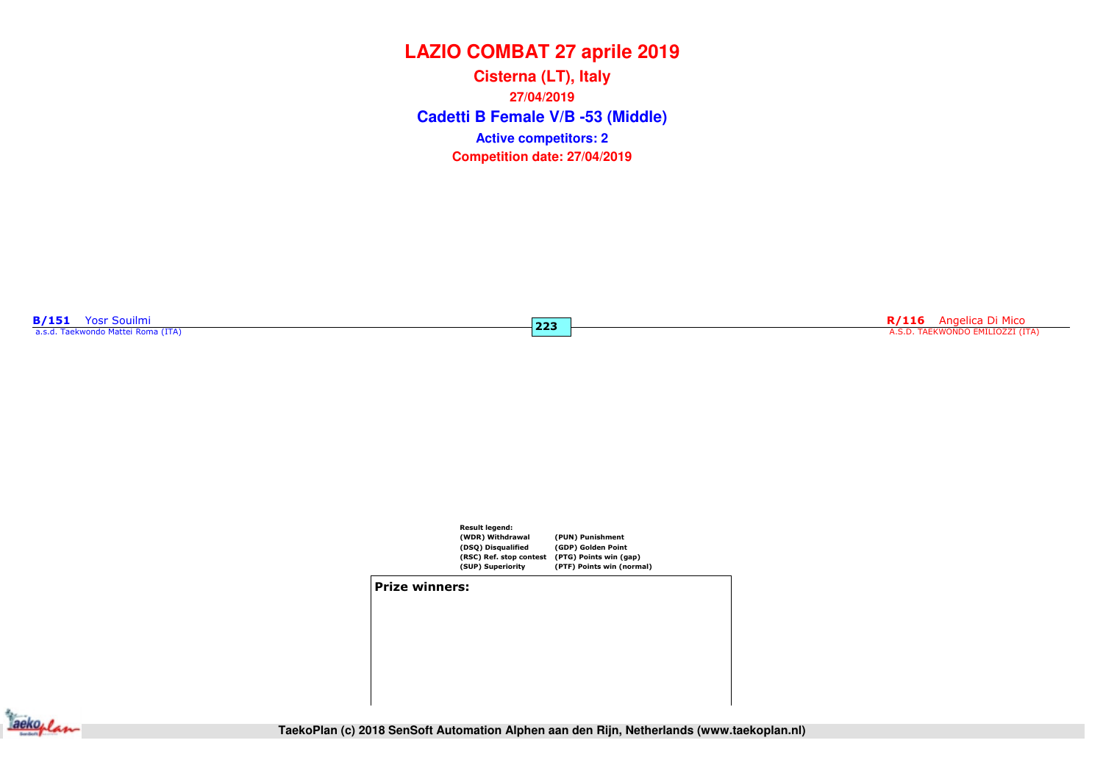**Cadetti B Female V/B -53 (Middle) Cisterna (LT), Italy27/04/2019Competition date: 27/04/2019 Active competitors: 2**

 $|223|$ 

B/151 Yosr Souilmi a.s.d. Taekwondo Mattei Roma (ITA)

R<mark>/116</mark> Angelica Di Mico **223 Angelica Di Mico A.S.D. TAEKWONDO EMILIOZZI** (ITA) A.S.D. TAEKWONDO EMILIOZZI (ITA)

![](_page_27_Figure_4.jpeg)

#### Prize winners:

![](_page_27_Picture_6.jpeg)

**TaekoPlan (c) 2018 SenSoft Automation Alphen aan den Rijn, Netherlands (www.taekoplan.nl)**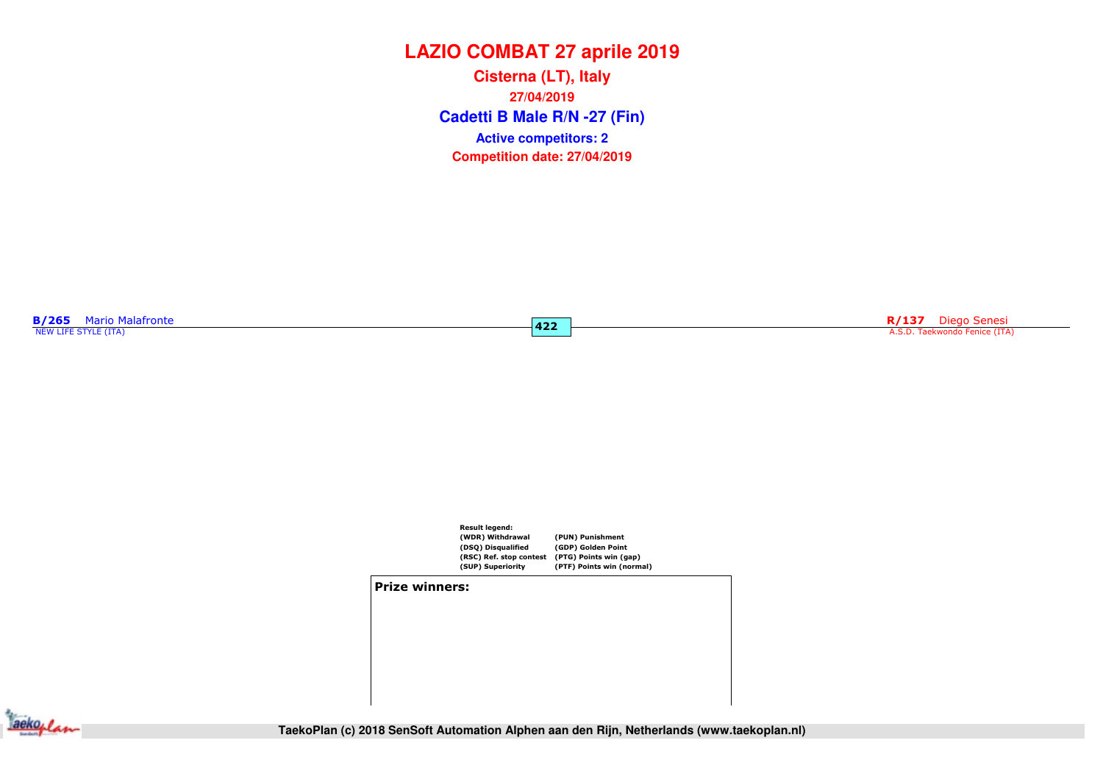**Cadetti B Male R/N -27 (Fin) Cisterna (LT), Italy27/04/2019Competition date: 27/04/2019 Active competitors: 2**

 $422$ 

**B/265** Mario Malafronte

R/137 Diego Senesi A.S.D. Taekwondo Fenice (ITA)

![](_page_28_Figure_4.jpeg)

#### Prize winners:

![](_page_28_Picture_6.jpeg)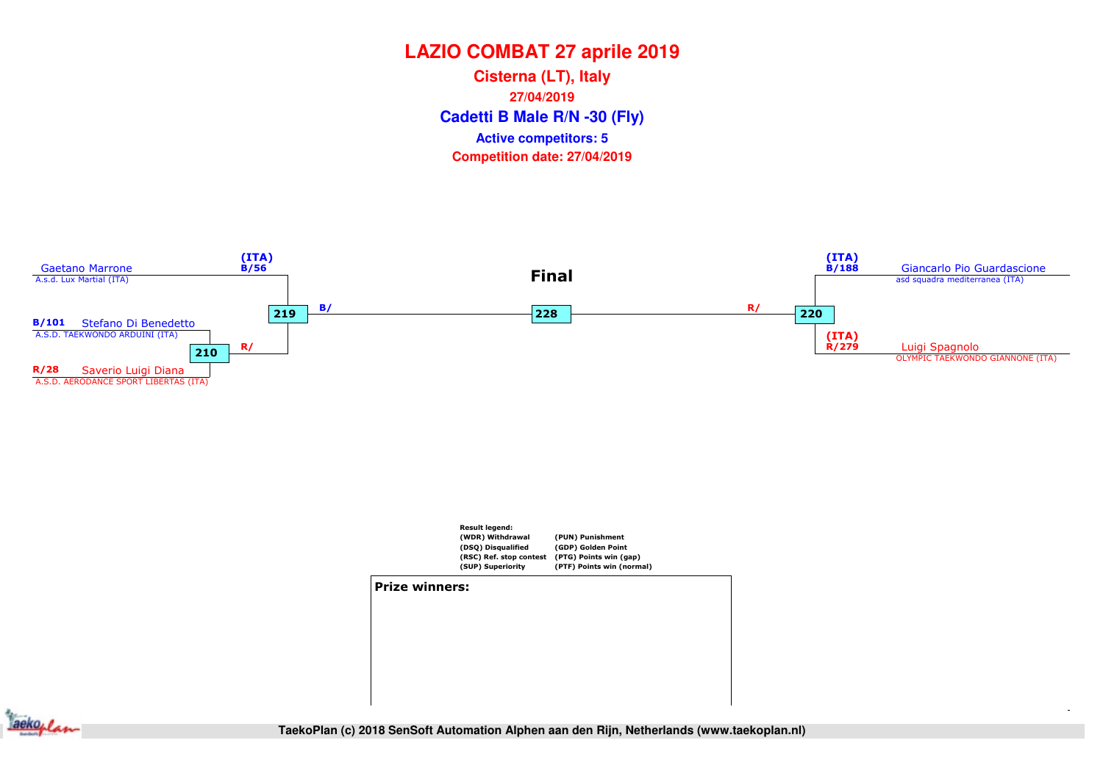**Cadetti B Male R/N -30 (Fly) Cisterna (LT), Italy27/04/2019Competition date: 27/04/2019 Active competitors: 5**

![](_page_29_Figure_2.jpeg)

![](_page_29_Figure_3.jpeg)

![](_page_29_Figure_4.jpeg)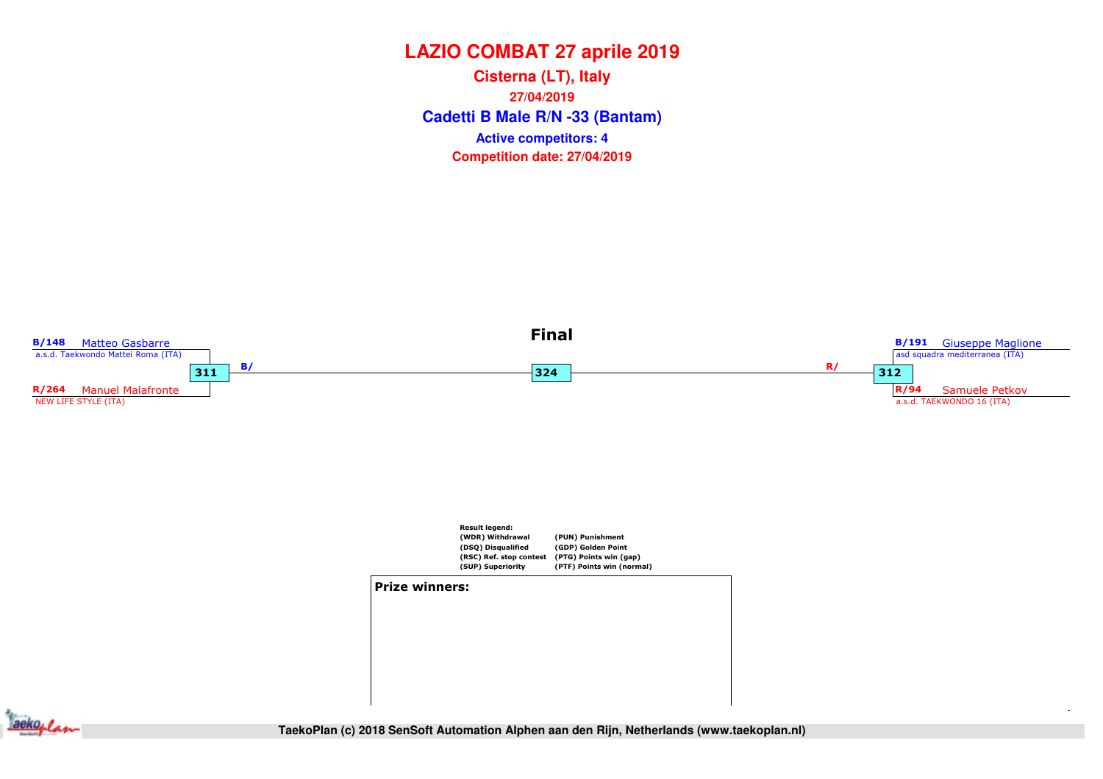**Cadetti B Male R/N -33 (Bantam) Cisterna (LT), Italy27/04/2019Competition date: 27/04/2019 Active competitors: 4**

![](_page_30_Figure_2.jpeg)

![](_page_30_Figure_3.jpeg)

![](_page_30_Picture_4.jpeg)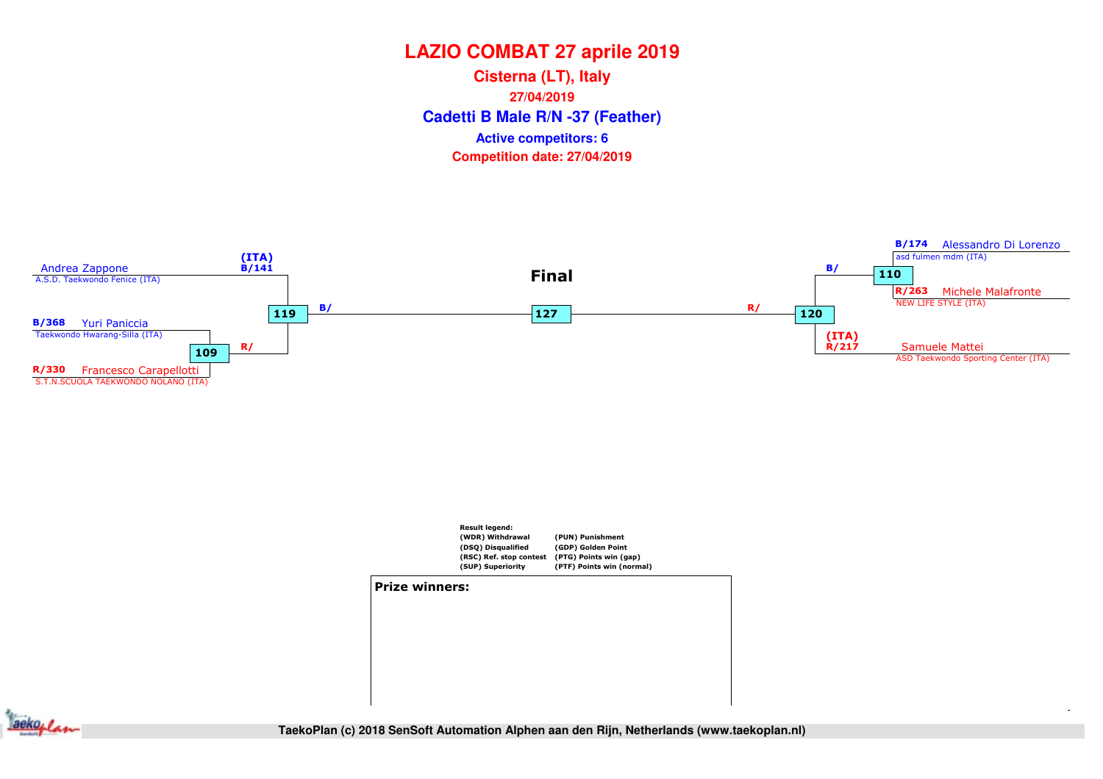**Cadetti B Male R/N -37 (Feather) Cisterna (LT), Italy27/04/2019Competition date: 27/04/2019 Active competitors: 6**

![](_page_31_Figure_2.jpeg)

![](_page_31_Figure_3.jpeg)

![](_page_31_Figure_4.jpeg)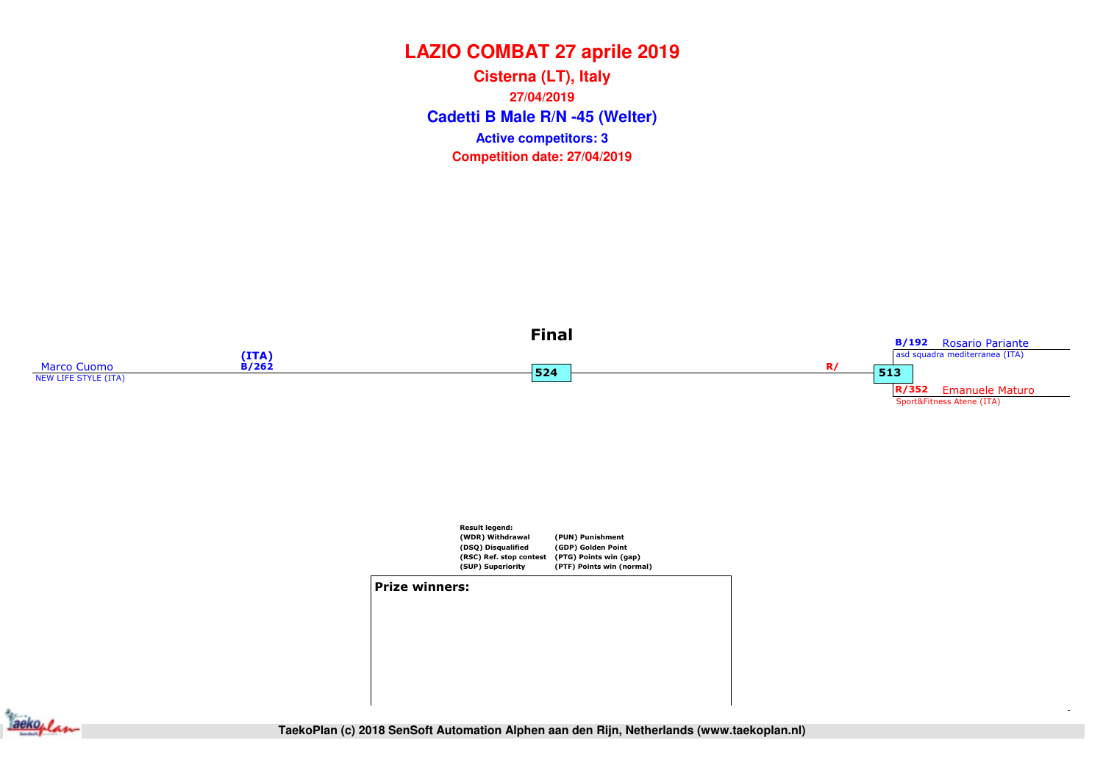**Cadetti B Male R/N -45 (Welter) Cisterna (LT), Italy27/04/2019Competition date: 27/04/2019 Active competitors: 3**

![](_page_32_Figure_2.jpeg)

![](_page_32_Figure_3.jpeg)

![](_page_32_Figure_4.jpeg)

![](_page_32_Figure_5.jpeg)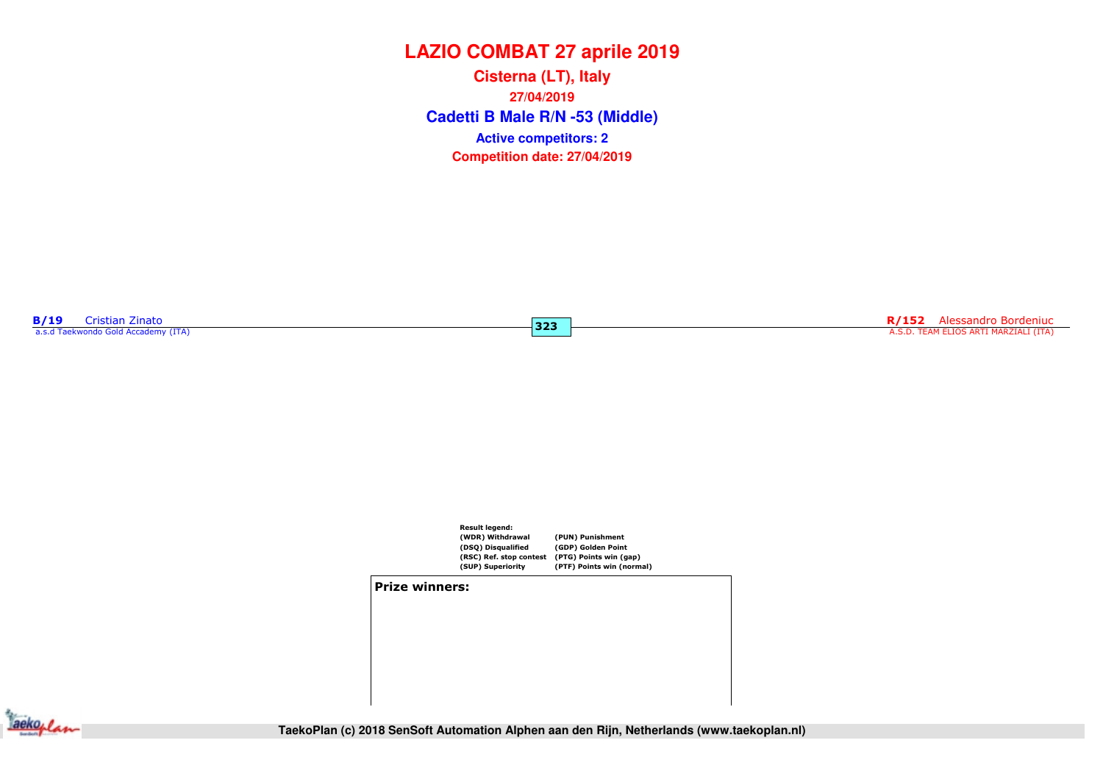**Cadetti B Male R/N -53 (Middle) Cisterna (LT), Italy27/04/2019Competition date: 27/04/2019 Active competitors: 2**

 $323$ 

**B/19** Cristian Zinato<br>a.s.d Taekwondo Gold Accademy (ITA)

R/152 Alessandro Bordeniuc<br>A.S.D. TEAM ELIOS ARTI MARZIALI (ITA)

![](_page_33_Figure_4.jpeg)

#### Prize winners:

![](_page_33_Picture_6.jpeg)

**TaekoPlan (c) 2018 SenSoft Automation Alphen aan den Rijn, Netherlands (www.taekoplan.nl)**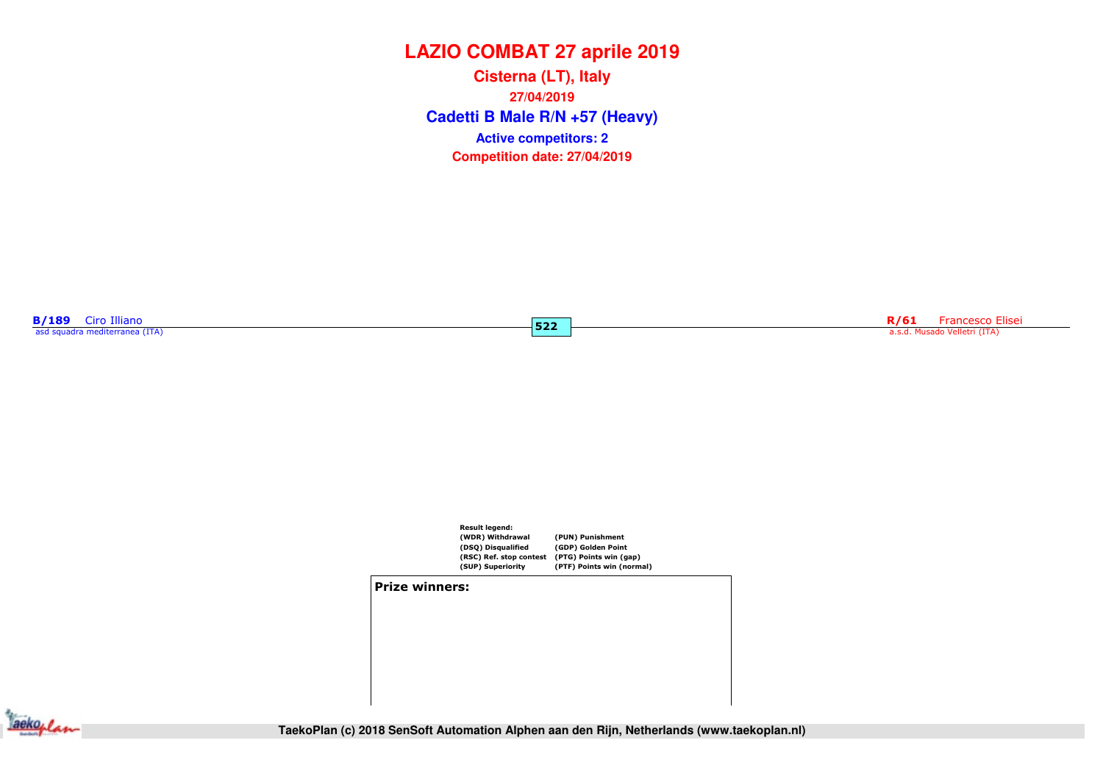**Cadetti B Male R/N +57 (Heavy) Cisterna (LT), Italy27/04/2019Competition date: 27/04/2019 Active competitors: 2**

 $522$ 

**B/189** Ciro Illiano<br>asd squadra mediterranea (ITA)

Roman Register and Register and Register and Register and Register and Register and Register a.s.d. Musado Velletri (ITA)

![](_page_34_Figure_4.jpeg)

#### Prize winners:

![](_page_34_Picture_6.jpeg)

**TaekoPlan (c) 2018 SenSoft Automation Alphen aan den Rijn, Netherlands (www.taekoplan.nl)**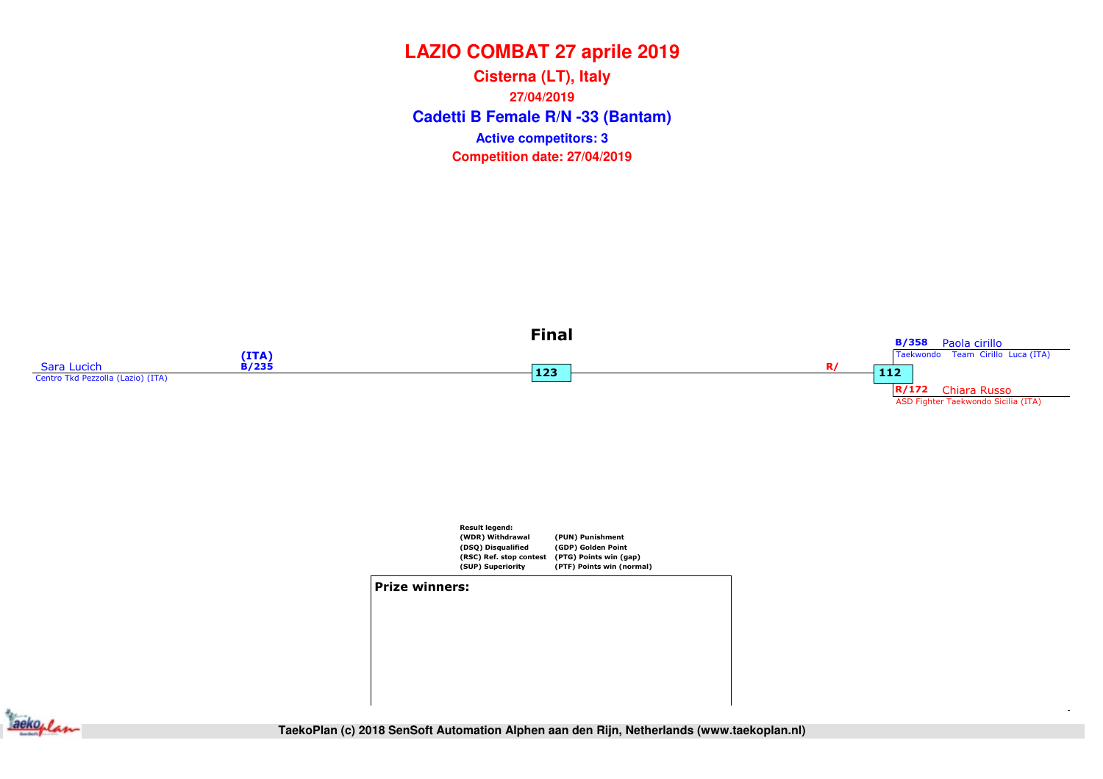**Cadetti B Female R/N -33 (Bantam) Cisterna (LT), Italy27/04/2019Competition date: 27/04/2019 Active competitors: 3**

![](_page_35_Figure_2.jpeg)

![](_page_35_Figure_3.jpeg)

![](_page_35_Picture_4.jpeg)